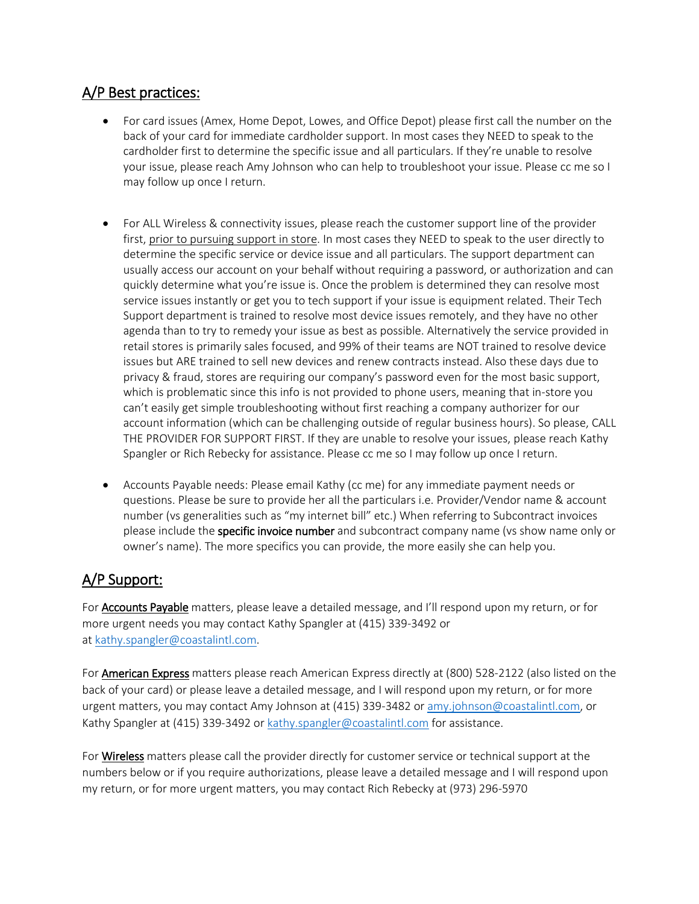## A/P Best practices:

- For card issues (Amex, Home Depot, Lowes, and Office Depot) please first call the number on the back of your card for immediate cardholder support. In most cases they NEED to speak to the cardholder first to determine the specific issue and all particulars. If they're unable to resolve your issue, please reach Amy Johnson who can help to troubleshoot your issue. Please cc me so I may follow up once I return.
- For ALL Wireless & connectivity issues, please reach the customer support line of the provider first, prior to pursuing support in store. In most cases they NEED to speak to the user directly to determine the specific service or device issue and all particulars. The support department can usually access our account on your behalf without requiring a password, or authorization and can quickly determine what you're issue is. Once the problem is determined they can resolve most service issues instantly or get you to tech support if your issue is equipment related. Their Tech Support department is trained to resolve most device issues remotely, and they have no other agenda than to try to remedy your issue as best as possible. Alternatively the service provided in retail stores is primarily sales focused, and 99% of their teams are NOT trained to resolve device issues but ARE trained to sell new devices and renew contracts instead. Also these days due to privacy & fraud, stores are requiring our company's password even for the most basic support, which is problematic since this info is not provided to phone users, meaning that in-store you can't easily get simple troubleshooting without first reaching a company authorizer for our account information (which can be challenging outside of regular business hours). So please, CALL THE PROVIDER FOR SUPPORT FIRST. If they are unable to resolve your issues, please reach Kathy Spangler or Rich Rebecky for assistance. Please cc me so I may follow up once I return.
- Accounts Payable needs: Please email Kathy (cc me) for any immediate payment needs or questions. Please be sure to provide her all the particulars i.e. Provider/Vendor name & account number (vs generalities such as "my internet bill" etc.) When referring to Subcontract invoices please include the **specific invoice number** and subcontract company name (vs show name only or owner's name). The more specifics you can provide, the more easily she can help you.

## A/P Support:

For **Accounts Payable** matters, please leave a detailed message, and I'll respond upon my return, or for more urgent needs you may contact Kathy Spangler at (415) 339-3492 or at [kathy.spangler@coastalintl.com.](mailto:kathy.spangler@coastalintl.com)

For American Express matters please reach American Express directly at (800) 528-2122 (also listed on the back of your card) or please leave a detailed message, and I will respond upon my return, or for more urgent matters, you may contact Amy Johnson at (415) 339-3482 o[r amy.johnson@coastalintl.com,](mailto:amy.johnson@coastalintl.com) or Kathy Spangler at (415) 339-3492 or [kathy.spangler@coastalintl.com](mailto:kathy.spangler@coastalintl.com) for assistance.

For **Wireless** matters please call the provider directly for customer service or technical support at the numbers below or if you require authorizations, please leave a detailed message and I will respond upon my return, or for more urgent matters, you may contact Rich Rebecky at (973) 296-5970